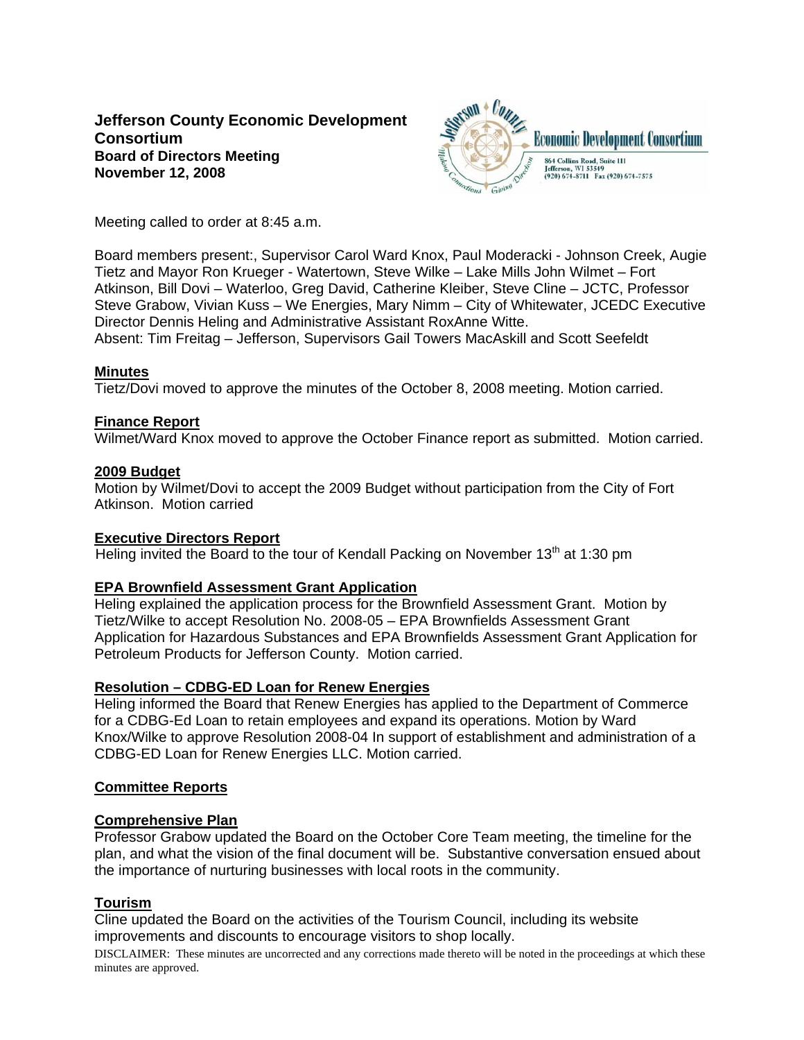# **Jefferson County Economic Development Consortium Board of Directors Meeting November 12, 2008**



Meeting called to order at 8:45 a.m.

Board members present:, Supervisor Carol Ward Knox, Paul Moderacki - Johnson Creek, Augie Tietz and Mayor Ron Krueger - Watertown, Steve Wilke – Lake Mills John Wilmet – Fort Atkinson, Bill Dovi – Waterloo, Greg David, Catherine Kleiber, Steve Cline – JCTC, Professor Steve Grabow, Vivian Kuss – We Energies, Mary Nimm – City of Whitewater, JCEDC Executive Director Dennis Heling and Administrative Assistant RoxAnne Witte. Absent: Tim Freitag – Jefferson, Supervisors Gail Towers MacAskill and Scott Seefeldt

#### **Minutes**

Tietz/Dovi moved to approve the minutes of the October 8, 2008 meeting. Motion carried.

## **Finance Report**

Wilmet/Ward Knox moved to approve the October Finance report as submitted. Motion carried.

#### **2009 Budget**

Motion by Wilmet/Dovi to accept the 2009 Budget without participation from the City of Fort Atkinson. Motion carried

#### **Executive Directors Report**

Heling invited the Board to the tour of Kendall Packing on November  $13<sup>th</sup>$  at 1:30 pm

## **EPA Brownfield Assessment Grant Application**

Heling explained the application process for the Brownfield Assessment Grant. Motion by Tietz/Wilke to accept Resolution No. 2008-05 – EPA Brownfields Assessment Grant Application for Hazardous Substances and EPA Brownfields Assessment Grant Application for Petroleum Products for Jefferson County. Motion carried.

## **Resolution – CDBG-ED Loan for Renew Energies**

Heling informed the Board that Renew Energies has applied to the Department of Commerce for a CDBG-Ed Loan to retain employees and expand its operations. Motion by Ward Knox/Wilke to approve Resolution 2008-04 In support of establishment and administration of a CDBG-ED Loan for Renew Energies LLC. Motion carried.

## **Committee Reports**

#### **Comprehensive Plan**

Professor Grabow updated the Board on the October Core Team meeting, the timeline for the plan, and what the vision of the final document will be. Substantive conversation ensued about the importance of nurturing businesses with local roots in the community.

## **Tourism**

Cline updated the Board on the activities of the Tourism Council, including its website improvements and discounts to encourage visitors to shop locally.

DISCLAIMER: These minutes are uncorrected and any corrections made thereto will be noted in the proceedings at which these minutes are approved.